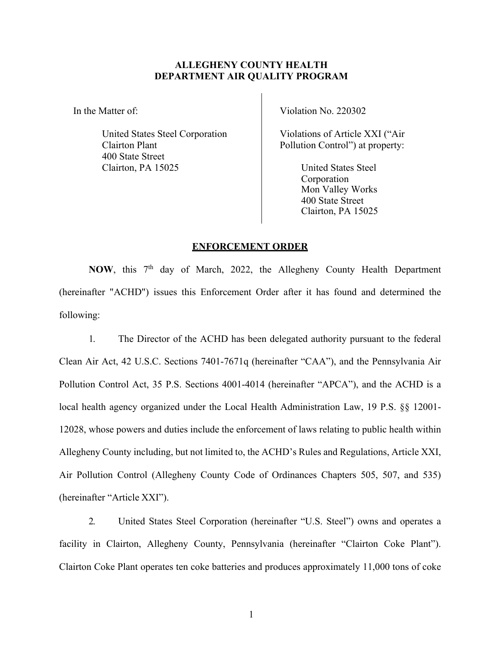## **ALLEGHENY COUNTY HEALTH DEPARTMENT AIR QUALITY PROGRAM**

In the Matter of:

United States Steel Corporation Clairton Plant 400 State Street Clairton, PA 15025

Violation No. 220302

Violations of Article XXI ("Air Pollution Control") at property:

> United States Steel Corporation Mon Valley Works 400 State Street Clairton, PA 15025

## **ENFORCEMENT ORDER**

NOW, this 7<sup>th</sup> day of March, 2022, the Allegheny County Health Department (hereinafter "ACHD") issues this Enforcement Order after it has found and determined the following:

1. The Director of the ACHD has been delegated authority pursuant to the federal Clean Air Act, 42 U.S.C. Sections 7401-7671q (hereinafter "CAA"), and the Pennsylvania Air Pollution Control Act, 35 P.S. Sections 4001-4014 (hereinafter "APCA"), and the ACHD is a local health agency organized under the Local Health Administration Law, 19 P.S. §§ 12001- 12028, whose powers and duties include the enforcement of laws relating to public health within Allegheny County including, but not limited to, the ACHD's Rules and Regulations, Article XXI, Air Pollution Control (Allegheny County Code of Ordinances Chapters 505, 507, and 535) (hereinafter "Article XXI").

2. United States Steel Corporation (hereinafter "U.S. Steel") owns and operates a facility in Clairton, Allegheny County, Pennsylvania (hereinafter "Clairton Coke Plant"). Clairton Coke Plant operates ten coke batteries and produces approximately 11,000 tons of coke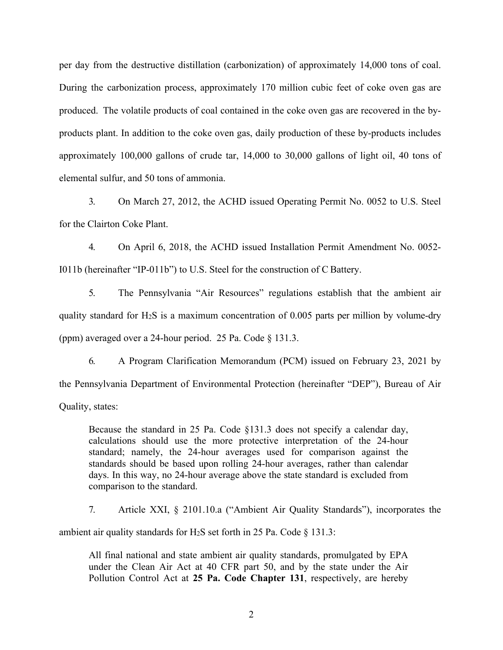per day from the destructive distillation (carbonization) of approximately 14,000 tons of coal. During the carbonization process, approximately 170 million cubic feet of coke oven gas are produced. The volatile products of coal contained in the coke oven gas are recovered in the byproducts plant. In addition to the coke oven gas, daily production of these by-products includes approximately 100,000 gallons of crude tar, 14,000 to 30,000 gallons of light oil, 40 tons of elemental sulfur, and 50 tons of ammonia.

3. On March 27, 2012, the ACHD issued Operating Permit No. 0052 to U.S. Steel for the Clairton Coke Plant.

4. On April 6, 2018, the ACHD issued Installation Permit Amendment No. 0052- I011b (hereinafter "IP-011b") to U.S. Steel for the construction of C Battery.

5. The Pennsylvania "Air Resources" regulations establish that the ambient air quality standard for H2S is a maximum concentration of 0.005 parts per million by volume-dry (ppm) averaged over a 24-hour period. 25 Pa. Code § 131.3.

6. A Program Clarification Memorandum (PCM) issued on February 23, 2021 by the Pennsylvania Department of Environmental Protection (hereinafter "DEP"), Bureau of Air Quality, states:

Because the standard in 25 Pa. Code  $\S$ 131.3 does not specify a calendar day, calculations should use the more protective interpretation of the 24-hour standard; namely, the 24-hour averages used for comparison against the standards should be based upon rolling 24-hour averages, rather than calendar days. In this way, no 24-hour average above the state standard is excluded from comparison to the standard.

7. Article XXI, § 2101.10.a ("Ambient Air Quality Standards"), incorporates the ambient air quality standards for H<sub>2</sub>S set forth in 25 Pa. Code  $\S$  131.3:

All final national and state ambient air quality standards, promulgated by EPA under the Clean Air Act at 40 CFR part 50, and by the state under the Air Pollution Control Act at **25 Pa. Code Chapter 131**, respectively, are hereby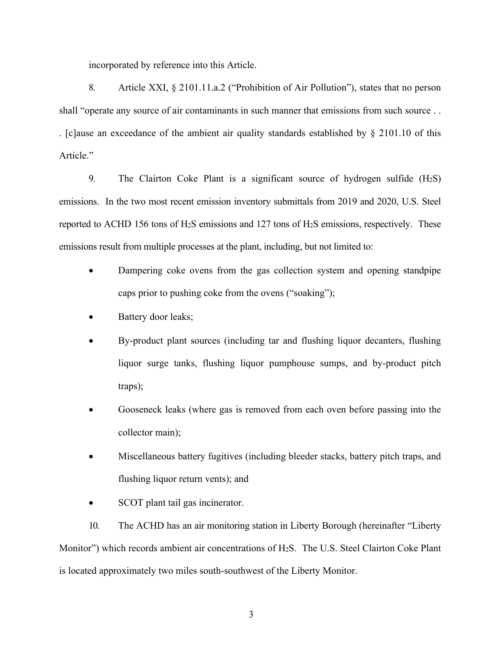incorporated by reference into this Article.

8. Article XXI, § 2101.11.a.2 ("Prohibition of Air Pollution"), states that no person shall "operate any source of air contaminants in such manner that emissions from such source . . . [c]ause an exceedance of the ambient air quality standards established by § 2101.10 of this Article."

9. The Clairton Coke Plant is a significant source of hydrogen sulfide (H2S) emissions. In the two most recent emission inventory submittals from 2019 and 2020, U.S. Steel reported to ACHD 156 tons of H2S emissions and 127 tons of H2S emissions, respectively. These emissions result from multiple processes at the plant, including, but not limited to:

- Dampering coke ovens from the gas collection system and opening standpipe caps prior to pushing coke from the ovens ("soaking");
- Battery door leaks;
- By-product plant sources (including tar and flushing liquor decanters, flushing liquor surge tanks, flushing liquor pumphouse sumps, and by-product pitch traps);
- Gooseneck leaks (where gas is removed from each oven before passing into the collector main);
- Miscellaneous battery fugitives (including bleeder stacks, battery pitch traps, and flushing liquor return vents); and
- SCOT plant tail gas incinerator.

10. The ACHD has an air monitoring station in Liberty Borough (hereinafter "Liberty Monitor") which records ambient air concentrations of H2S. The U.S. Steel Clairton Coke Plant is located approximately two miles south-southwest of the Liberty Monitor.

3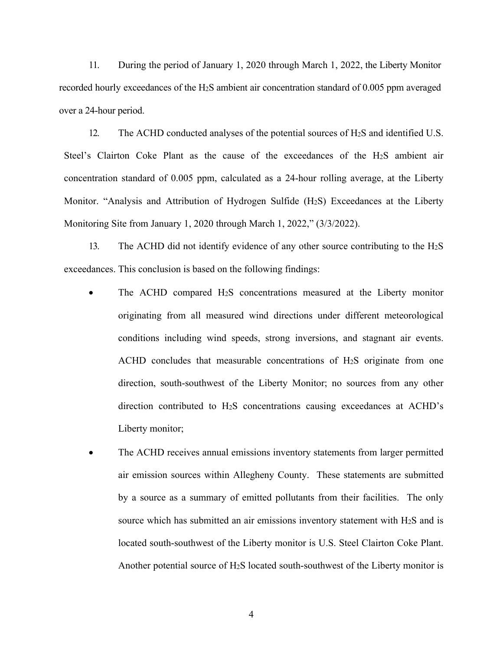11. During the period of January 1, 2020 through March 1, 2022, the Liberty Monitor recorded hourly exceedances of the H2S ambient air concentration standard of 0.005 ppm averaged over a 24-hour period.

12. The ACHD conducted analyses of the potential sources of H2S and identified U.S. Steel's Clairton Coke Plant as the cause of the exceedances of the H2S ambient air concentration standard of 0.005 ppm, calculated as a 24-hour rolling average, at the Liberty Monitor. "Analysis and Attribution of Hydrogen Sulfide (H2S) Exceedances at the Liberty Monitoring Site from January 1, 2020 through March 1, 2022," (3/3/2022).

13. The ACHD did not identify evidence of any other source contributing to the  $H_2S$ exceedances. This conclusion is based on the following findings:

- The ACHD compared H2S concentrations measured at the Liberty monitor originating from all measured wind directions under different meteorological conditions including wind speeds, strong inversions, and stagnant air events. ACHD concludes that measurable concentrations of H2S originate from one direction, south-southwest of the Liberty Monitor; no sources from any other direction contributed to H2S concentrations causing exceedances at ACHD's Liberty monitor;
- The ACHD receives annual emissions inventory statements from larger permitted air emission sources within Allegheny County. These statements are submitted by a source as a summary of emitted pollutants from their facilities. The only source which has submitted an air emissions inventory statement with H2S and is located south-southwest of the Liberty monitor is U.S. Steel Clairton Coke Plant. Another potential source of  $H_2S$  located south-southwest of the Liberty monitor is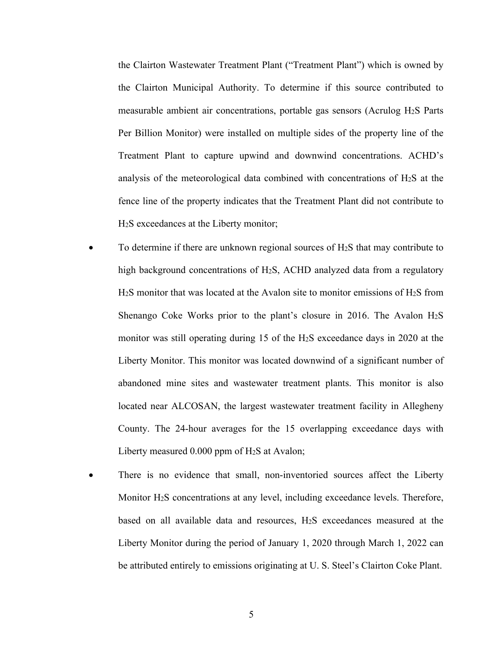the Clairton Wastewater Treatment Plant ("Treatment Plant") which is owned by the Clairton Municipal Authority. To determine if this source contributed to measurable ambient air concentrations, portable gas sensors (Acrulog H2S Parts Per Billion Monitor) were installed on multiple sides of the property line of the Treatment Plant to capture upwind and downwind concentrations. ACHD's analysis of the meteorological data combined with concentrations of H2S at the fence line of the property indicates that the Treatment Plant did not contribute to H2S exceedances at the Liberty monitor;

- To determine if there are unknown regional sources of H2S that may contribute to high background concentrations of H2S, ACHD analyzed data from a regulatory H2S monitor that was located at the Avalon site to monitor emissions of H2S from Shenango Coke Works prior to the plant's closure in 2016. The Avalon H2S monitor was still operating during 15 of the H2S exceedance days in 2020 at the Liberty Monitor. This monitor was located downwind of a significant number of abandoned mine sites and wastewater treatment plants. This monitor is also located near ALCOSAN, the largest wastewater treatment facility in Allegheny County. The 24-hour averages for the 15 overlapping exceedance days with Liberty measured 0.000 ppm of H2S at Avalon;
- There is no evidence that small, non-inventoried sources affect the Liberty Monitor H2S concentrations at any level, including exceedance levels. Therefore, based on all available data and resources, H2S exceedances measured at the Liberty Monitor during the period of January 1, 2020 through March 1, 2022 can be attributed entirely to emissions originating at U. S. Steel's Clairton Coke Plant.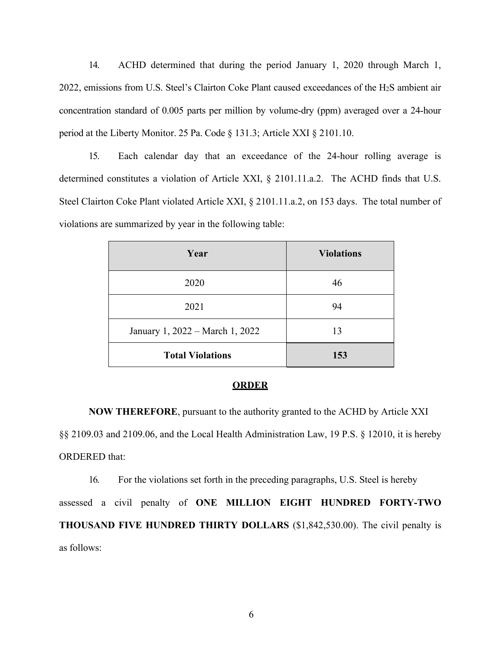14. ACHD determined that during the period January 1, 2020 through March 1, 2022, emissions from U.S. Steel's Clairton Coke Plant caused exceedances of the H2S ambient air concentration standard of 0.005 parts per million by volume-dry (ppm) averaged over a 24-hour period at the Liberty Monitor. 25 Pa. Code § 131.3; Article XXI § 2101.10.

15. Each calendar day that an exceedance of the 24-hour rolling average is determined constitutes a violation of Article XXI, § 2101.11.a.2. The ACHD finds that U.S. Steel Clairton Coke Plant violated Article XXI, § 2101.11.a.2, on 153 days. The total number of violations are summarized by year in the following table:

| Year                            | <b>Violations</b> |  |
|---------------------------------|-------------------|--|
| 2020                            | 46                |  |
| 2021                            | 94                |  |
| January 1, 2022 – March 1, 2022 | 13                |  |
| <b>Total Violations</b>         | 153               |  |

## **ORDER**

**NOW THEREFORE**, pursuant to the authority granted to the ACHD by Article XXI §§ 2109.03 and 2109.06, and the Local Health Administration Law, 19 P.S. § 12010, it is hereby ORDERED that:

16. For the violations set forth in the preceding paragraphs, U.S. Steel is hereby assessed a civil penalty of **ONE MILLION EIGHT HUNDRED FORTY-TWO THOUSAND FIVE HUNDRED THIRTY DOLLARS** (\$1,842,530.00). The civil penalty is as follows: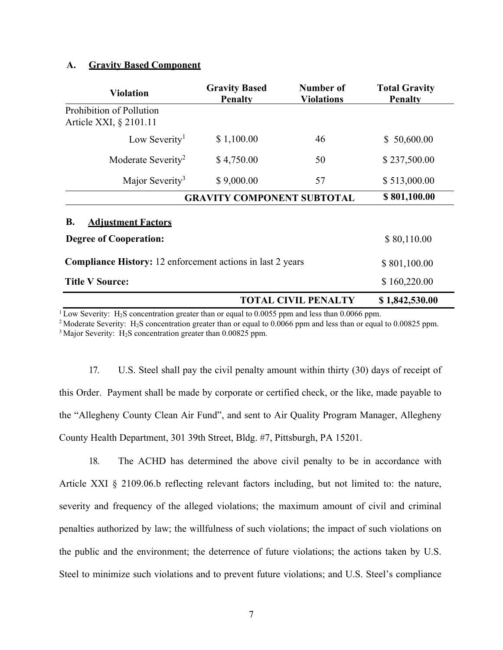## **A. Gravity Based Component**

| <b>Violation</b>                                                  | <b>Gravity Based</b><br><b>Penalty</b> | Number of<br><b>Violations</b> | <b>Total Gravity</b><br><b>Penalty</b> |
|-------------------------------------------------------------------|----------------------------------------|--------------------------------|----------------------------------------|
| Prohibition of Pollution<br>Article XXI, § 2101.11                |                                        |                                |                                        |
| Low Severity <sup>1</sup>                                         | \$1,100.00                             | 46                             | \$50,600.00                            |
| Moderate Severity <sup>2</sup>                                    | \$4,750.00                             | 50                             | \$237,500.00                           |
| Major Severity <sup>3</sup>                                       | \$9,000.00                             | 57                             | \$513,000.00                           |
| <b>GRAVITY COMPONENT SUBTOTAL</b>                                 |                                        |                                | \$801,100.00                           |
| <b>B.</b><br><b>Adjustment Factors</b>                            |                                        |                                |                                        |
| <b>Degree of Cooperation:</b>                                     |                                        |                                | \$80,110.00                            |
| <b>Compliance History:</b> 12 enforcement actions in last 2 years |                                        |                                | \$801,100.00                           |
| <b>Title V Source:</b>                                            |                                        |                                | \$160,220.00                           |
| <b>TOTAL CIVIL PENALTY</b>                                        |                                        |                                | \$1,842,530.00                         |

<sup>1</sup> Low Severity: H<sub>2</sub>S concentration greater than or equal to 0.0055 ppm and less than 0.0066 ppm.<br><sup>2</sup> Moderate Severity: H<sub>2</sub>S concentration greater than or equal to 0.0066 ppm and less than or equal to 0.00825 ppm. <sup>3</sup> Major Severity:  $H_2S$  concentration greater than 0.00825 ppm.

17. U.S. Steel shall pay the civil penalty amount within thirty (30) days of receipt of this Order. Payment shall be made by corporate or certified check, or the like, made payable to the "Allegheny County Clean Air Fund", and sent to Air Quality Program Manager, Allegheny County Health Department, 301 39th Street, Bldg. #7, Pittsburgh, PA 15201.

18. The ACHD has determined the above civil penalty to be in accordance with Article XXI § 2109.06.b reflecting relevant factors including, but not limited to: the nature, severity and frequency of the alleged violations; the maximum amount of civil and criminal penalties authorized by law; the willfulness of such violations; the impact of such violations on the public and the environment; the deterrence of future violations; the actions taken by U.S. Steel to minimize such violations and to prevent future violations; and U.S. Steel's compliance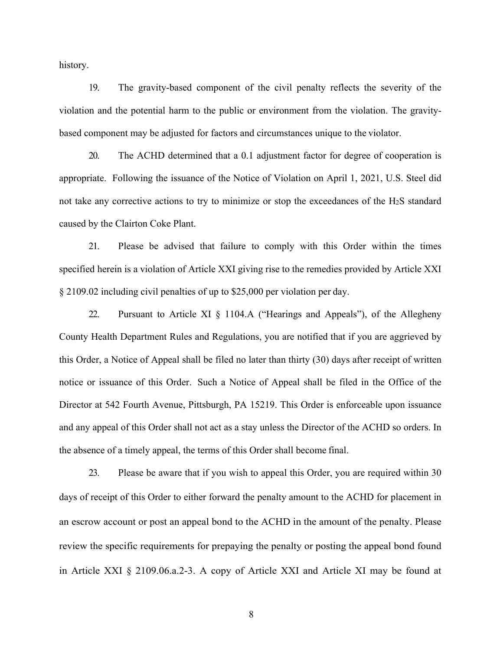history.

19. The gravity-based component of the civil penalty reflects the severity of the violation and the potential harm to the public or environment from the violation. The gravitybased component may be adjusted for factors and circumstances unique to the violator.

20. The ACHD determined that a 0.1 adjustment factor for degree of cooperation is appropriate. Following the issuance of the Notice of Violation on April 1, 2021, U.S. Steel did not take any corrective actions to try to minimize or stop the exceedances of the H2S standard caused by the Clairton Coke Plant.

21. Please be advised that failure to comply with this Order within the times specified herein is a violation of Article XXI giving rise to the remedies provided by Article XXI § 2109.02 including civil penalties of up to \$25,000 per violation per day.

22. Pursuant to Article XI § 1104.A ("Hearings and Appeals"), of the Allegheny County Health Department Rules and Regulations, you are notified that if you are aggrieved by this Order, a Notice of Appeal shall be filed no later than thirty (30) days after receipt of written notice or issuance of this Order. Such a Notice of Appeal shall be filed in the Office of the Director at 542 Fourth Avenue, Pittsburgh, PA 15219. This Order is enforceable upon issuance and any appeal of this Order shall not act as a stay unless the Director of the ACHD so orders. In the absence of a timely appeal, the terms of this Order shall become final.

23. Please be aware that if you wish to appeal this Order, you are required within 30 days of receipt of this Order to either forward the penalty amount to the ACHD for placement in an escrow account or post an appeal bond to the ACHD in the amount of the penalty. Please review the specific requirements for prepaying the penalty or posting the appeal bond found in Article XXI § 2109.06.a.2-3. A copy of Article XXI and Article XI may be found at

8